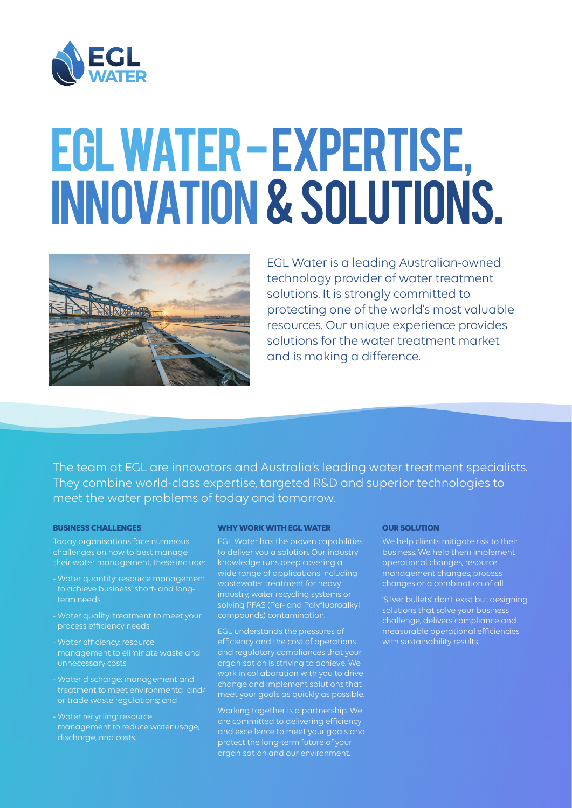

# EGL WATER - EXPERTISE, INNOVATION & SOLUTIONS.



EGL Water is a leading Australian-owned technology provider of water treatment solutions. It is strongly committed to protecting one of the world's most valuable resources. Our unique experience provides solutions for the water treatment market and is making a difference.

The team at EGL are innovators and Australia's leading water treatment specialists. They combine world-class expertise, targeted R&D and superior technologies to meet the water problems of today and tomorrow.

#### **BUSINESS CHALLENGES**

Today organisations face numerous challenges on how to best manage their water management, these include:

- Water quantity: resource management
- 
- Water efficiency: resource management to eliminate waste and
- Water discharge: management and or trade waste regulations; and
- Water recycling: resource management to reduce water usage, discharge, and costs.

### **WHY WORK WITH EGL WATER**

EGL Water has the proven capabilities to deliver you a solution. Our industry knowledge runs deep covering a wide range of applications including wastewater treatment for heavy industry, water recycling systems or solving PFAS (Per- and Polyfluoroalkyl

EGL understands the pressures of efficiency and the cost of operations and regulatory compliances that your organisation is striving to achieve. We work in collaboration with you to drive change and implement solutions that meet your goals as quickly as possible.

Working together is a partnership. We are committed to delivering efficiency and excellence to meet your goals and protect the long-term future of your organisation and our environment.

#### **OUR SOLUTION**

We help clients mitigate risk to their business. We help them implement operational changes, resource management changes, process changes or a combination of all.

'Silver bullets' don't exist but designing challenge, delivers compliance and measurable operational efficiencies with sustainability results.